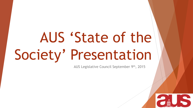# AUS 'State of the Society' Presentation

AUS Legislative Council September 9th, 2015

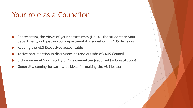### Your role as a Councilor

- Representing the views of your constituents (i.e. All the students in your department, not just in your departmental association) in AUS decisions
- Keeping the AUS Executives accountable
- Active participation in discussions at (and outside of) AUS Council
- Sitting on an AUS or Faculty of Arts committee (required by Constitution!)
- Generally, coming forward with ideas for making the AUS better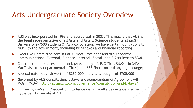#### Arts Undergraduate Society Overview

- AUS was incorporated in 1993 and accredited in 2003. This means that AUS is the **legal representative of all Arts and Arts & Science students at McGill University** (~7500 students!). As a corporation, we have certain obligations to fulfill to the government, including filing taxes and financial reporting.
- ▶ Executive Committee consists of 7 Execs (President and VPs Academic, Communications, External, Finance, Internal, Social) and 3 Arts Reps to SSMU
- Control student spaces in Leacock (Arts Lounge, AUS Office, SNAX), in 3434 MacTavish (few departmental offices) and 688 Sherbrooke (Language Lounge)
- Approximate net cash worth of \$280,000 and yearly budget of \$700,000
- Governed by AUS Constitution, bylaws and Memorandum of Agreement with McGill (MOA)[\(http://ausmcgill.com/governance/constitution-and-bylaws/](http://ausmcgill.com/governance/constitution-and-bylaws/) )
- In French, we're "L'Association Etudiante de la Faculté des Arts de Premier Cycle de l'Université McGill"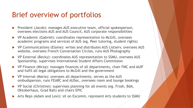## Brief overview of portfolios

- **President (Jacob): manages AUS executive team, official spokesperson,** oversees elections AUS and AUS Council, AUS corporate responsibilities
- ▶ VP Academic (Gabriel): coordinates representation to McGill, oversees academic programs and services of AUS (eg. Peer tutoring, student rights)
- VP Communications (Elaine): writes and distributes AUS Listserv, oversees AUS website, oversees French Conversation Circles, runs AUS Photography
- ▶ VP External (Becky): coordinates AUS representation to SSMU, oversees AUS Sponsorship, supervises International Student Affairs Commission
- VP Finance (Mirza): manages finances of all departments, chair FMC and AUIF and fulfil all legal obligations to McGill and the government
- VP Internal (Maria): oversees all departments, serves as the AUS ombudsperson, runs FEARC and AUSec, oversees room and lounge bookings
- VP Social (Christine): supervises planning for all events (eg. Frosh, BdA, Oktoberhaus, Grad Ball) and chairs EPIC
- Arts Reps (Adam and Lexi): sit on Excomm, represent Arts students to SSMU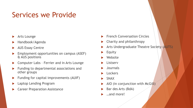## Services we Provide

- Arts Lounge
- Handbook/Agenda
- AUS Essay Centre
- Employment opportunities on campus (ASEF) & AUS positions
- ▶ Computer Labs Ferrier and in Arts Lounge
- Funding to departmental associations and other groups
- Funding for capital improvements (AUIF)
- Laptop Lending Program
- Career Preparation Assistance
- French Conversation Circles
- ▶ Charity and philanthropy
- **Arts Undergraduate Theatre Society (AUTS)**
- $\blacktriangleright$  Equity
- Website
- **Listserv**
- **Journals**
- **Lockers**
- **E** SNAX
- $\triangleright$  AIO (in conjunction with McGill)
- Bar des Arts (BdA)
- ▶ …and more!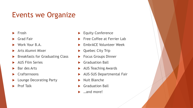## Events we Organize

- $\blacktriangleright$  Frosh
- Grad Fair
- Work Your B.A.
- Arts Alumni Mixer
- Breakfasts for Graduating Class
- AUS Film Series
- Bar des Arts
- **Crafternoons**
- **Lounge Decorating Party**
- $\blacktriangleright$  Prof Talk
- Equity Conference
- Free Coffee at Ferrier Lab
- EmbrACE Volunteer Week
- Quebec City Trip
- Focus Groups Dinner
- Graduation Ball
- AUS Teaching Awards
- AUS-SUS Departmental Fair
- Nuit Blanche
- Graduation Ball
- …and more!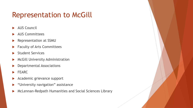## Representation to McGill

- AUS Council
- AUS Committees
- Representation at SSMU
- Faculty of Arts Committees
- Student Services
- McGill University Administration
- Departmental Associations
- $\blacktriangleright$  FEARC
- Academic grievance support
- "University navigation" assistance
- McLennan-Redpath Humanities and Social Sciences Library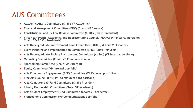#### AUS Committees

- **Academic Affairs Committee (Chair: VP Academic)**
- **Financial Management Committee (FMC) (Chair: VP Finance)**
- **Constitutional and By-Law Review Committee (CBRC) (Chair: President)**
- **First-Year Events, Academic, and Representative Council (FEARC) (VP Internal portfolio; Chair: FEARC Co-Presidents)**
- **Arts Undergraduate Improvement Fund Committee (AUIFC) (Chair: VP Finance)**
- **Event Planning and Implementation Committee (EPIC) (Chair: VP Social)**
- **Arts Undergraduate Society Environment Committee (AUSec) (VP Internal portfolio)**
- **Marketing Committee (Chair: VP Communications)**
- **Sponsorship Committee (Chair: VP External)**
- **Equity Committee (VP Internal portfolio)**
- **Arts Community Engagement (ACE) Committee (VP External portfolio)**
- **Fine Arts Council (FAC) (VP Communications portfolio)**
- **Arts Computer Lab Fund Committee (Chair: President)**
- **Library Partnership Committee (Chair: VP Academic)**
- **Arts Student Employment Fund Committee (Chair: VP Academic)**
- **Francophone Commission (VP Communications portfolio)**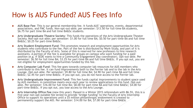#### How is AUS Funded? AUS Fees Info

- **AUS Base Fee**: This is our general membership fee. It funds AUS' operations, events, departmental associations, and FMC funds. Non-opt-out-able; per semester: \$13.50 for full-time BA students, \$6.75 for part time BA and full time BA&Sc students.
- **Arts Undergraduate Theatre Society**: This funds the operations of the Arts Undergraduate Theater Society. Non-opt-out-able; per semester: \$1.00 for full time BA; \$0.50 for part-time BA and full time BA⪼ \$0.25 for part-time BA&Sc.
- **Arts Student Employment Fund**: This promotes research and employment opportunities for Arts students who contribute to the fee. Part of the fee is distributed by Work-Study, and part of it is distributed by the Faculty of Arts. Some of this is reserved for new professors to hire research assistants. A portion of the fee is available for groups on campus who want funding for a paid position (e.g. if SEDE wants to hire a Community Engagement Day coordinator). Opt-out-able. Per semester: \$6.50 for full time BA; \$3.25 for part-time BA and full time BA&Sc. If you opt out, you are not eligible for employment opportunities funded by this fee.
- **Arts Computer Lab Fund**: This fee goes towards computer lab resources for AUS members who contribute to this fee. It can fund improvements both to the Ferrier lab and to the lab in the Arts Lounge. Opt-out-able. Per semester: \$9.80 for full time BA; \$4.90 for part-time BA and full time BA⪼ \$2.45 for part-time BA&Sc. If you opt out, you do not have access to the Ferrier lab.
- **Arts Undergraduate Improvement Fund**: This fee funds capital improvements to student space used by AUS members. A committee meets once each year to review applications to this fund. Opt-outable. Per semester: \$16.00 for full time BA; \$8.00 for part-time BA and full time BA⪼ \$4.00 for part-time BA&Sc. If you opt out, you lose access to the Arts Lounge.
- **Arts Internship Office Fee** (new this year): Passed in a Winter 2015 referendum with 86.5%, this is a five-year non-opt-outable fee levied to provide 'bridge funding' to the Faculty of Arts Internship Office to support its operations until a \$5 million philanthropic endowment is created to permanently support the AIO. Per semester: \$14.00 for BA; \$7.00 for part-time BA&Sc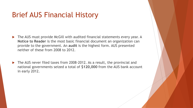## Brief AUS Financial History

- The AUS must provide McGill with audited financial statements every year. A **Notice to Reader** is the most basic financial document an organization can provide to the government. An **audit** is the highest form. AUS presented neither of these from 2008 to 2012.
- The AUS never filed taxes from 2008-2012. As a result, the provincial and national governments seized a total of **\$120,000** from the AUS bank account in early 2012.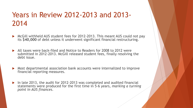## Years in Review 2012-2013 and 2013- 2014

- ▶ McGill withheld AUS student fees for 2012-2013. This meant AUS could not pay its **\$40,000** of debt unless it underwent significant financial restructuring.
- All taxes were back-filed and Notice to Readers for 2008 to 2012 were submitted in 2012-2013. McGill released student fees, finally resolving the debt issue.
- Most departmental association bank accounts were internalized to improve financial reporting measures.
- $\blacktriangleright$  In late 2013, the audit for 2012-2013 was completed and audited financial statements were produced for the first time in 5-6 years, *marking a turning point in AUS finances*.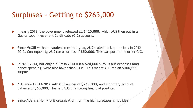## Surpluses – Getting to \$265,000

- In early 2013, the government released all **\$120,000,** which AUS then put in a Guaranteed Investment Certificate (GIC) account.
- Since McGill withheld student fees that year, AUS scaled back operations in 2012- 2013. Consequently, AUS ran a surplus of **\$50,000**. This was put into another GIC.
- In 2013-2014, not only did Frosh 2014 run a **\$20,000** surplus but expenses (and hence spending) were also lower than usual. This meant AUS ran an **\$100,000**  surplus.
- AUS ended 2013-2014 with GIC savings of **\$265,000**, and a primary account balance of **\$60,000.** This left AUS in a strong financial position.
- Since AUS is a Non-Profit organization, running high surpluses is not ideal.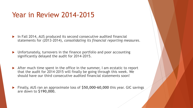### Year in Review 2014-2015

- ▶ In Fall 2014, AUS produced its second consecutive audited financial statements for (2013-2014), *consolidating its financial reporting measures*.
- Unfortunately, turnovers in the finance portfolio and poor accounting significantly delayed the audit for 2014-2015.
- After much time spent in the office in the summer, I am ecstatic to report that the audit for 2014-2015 will finally be going through this week. We should have our third consecutive audited financial statements soon!
- Finally, AUS ran an approximate loss of **\$50,000-60,000** this year. GIC savings are down to **\$190,000.**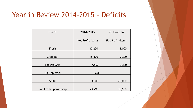#### Year in Review 2014-2015 - Deficits

| Event                 | 2014-2015         | 2013-2014         |
|-----------------------|-------------------|-------------------|
|                       |                   |                   |
|                       | Net Profit (Loss) | Net Profit (Loss) |
| Frosh                 | 30,250            | 13,000            |
| <b>Grad Ball</b>      | 15,300            | 9,300             |
| <b>Bar Des Arts</b>   | 7,500<br>-        | 7,200<br>-        |
| Hip Hop Week          | 528               |                   |
| <b>SNAX</b>           | 3,500             | 20,000            |
| Non Frosh Sponsorship | 23,790            | 38,500            |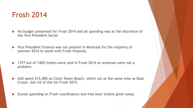#### Frosh 2014

- No budget presented for Frosh 2014 and all spending was at the discretion of the Vice President Social.
- ▶ Vice President Finance was not present in Montreal for the majority of summer 2014 to assist with Frosh finances.
- ▶ 1377 out of 1400 tickets were sold in Frosh 2014 so revenues were not a problem.
- AUS spent \$15,000 on Clock Tower Beach, which ran at the same time as Boat Cruise. Got rid of this for Frosh 2015.
- Excess spending on Frosh coordinators and free beer tickets given away.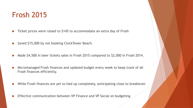#### Frosh 2015

- ▶ Ticket prices were raised to \$145 to accommodate an extra day of Frosh
- Saved \$15,000 by not booking ClockTower Beach.
- Made \$4,500 in beer tickets sales in Frosh 2015 compared to \$2,000 in Frosh 2014.
- Micromanaged Frosh finances and updated budget every week to keep track of all Frosh finances efficiently.
- While Frosh finances are yet to tied up completely, anticipating close to breakeven
- Effective communication between VP Finance and VP Social on budgeting.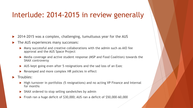#### Interlude: 2014-2015 in review generally

- 2014-2015 was a complex, challenging, tumultuous year for the AUS
- The AUS experiences many successes:
	- Many successful and creative collaborations with the admin such as AIO fee approval and the AUS Space Project
	- Media coverage and active student response (MSP and Food Coalition) towards the SNAX controversy
	- AUS kept going even after 5 resignations and the sad loss of an Exec
	- $\triangleright$  Revamped and more complex HR policies in effect
- Troubles:
	- ▶ High turnover in portfolios (5 resignations) and no acting VP Finance and Internal for months
	- SNAX ordered to stop selling sandwiches by admin
	- Frosh ran a huge deficit of \$30,000; AUS ran a deficit of \$50,000-60,000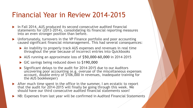#### Financial Year in Review 2014-2015

- ▶ In Fall 2014, AUS produced its second consecutive audited financial statements for (2013-2014), consolidating its financial reporting measures into an even stronger position than before.
- Unfortunately, turnovers in the VP Finance portfolio and poor accounting caused significant financial mismanagement. This had several consequences:
	- An inability to properly track AUS expenses and revenues in real time throughout the year because of incorrect entries into Quickbooks
	- AUS running an approximate loss of **\$50,000-60,000** in 2014-2015
	- GIC savings being reduced down to **\$190,000**
	- Significant delays to the audit for 2014-2015 due to our Auditors uncovering poor accounting (e.g. overuse of the miscellaneous expenses account, double entry of \$106,000 in revenues, inadequate training for the AUS bookkeeper)
- After much time spent in the office in the summer, I am ecstatic to report that the audit for 2014-2015 will finally be going through this week. We should have our third consecutive audited financial statements soon!
- NB: Expenses from last year will be confirmed in Audited Financial Statements